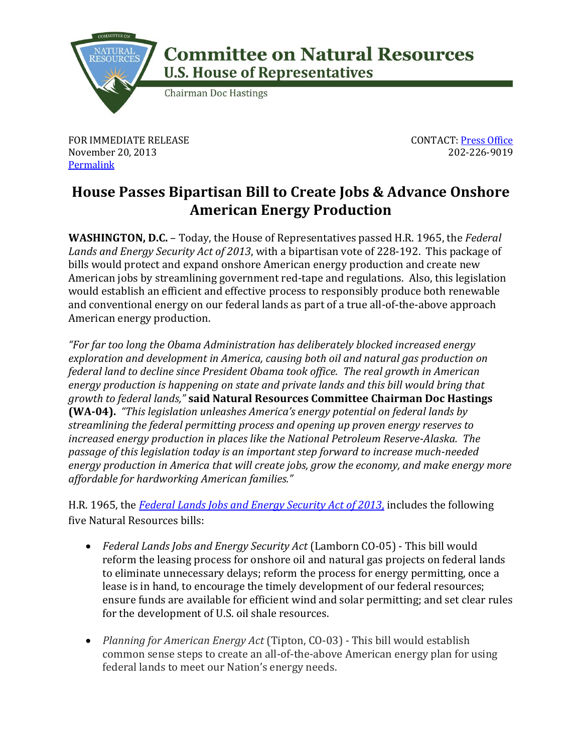

## **Committee on Natural Resources U.S. House of Representatives**

**Chairman Doc Hastings** 

FOR IMMEDIATE RELEASE November 20, 2013 **[Permalink](http://naturalresources.house.gov/news/documentsingle.aspx?DocumentID=362353)** 

CONTACT: [Press Office](http://naturalresources.house.gov/contact/media.htm) 202-226-9019

## **House Passes Bipartisan Bill to Create Jobs & Advance Onshore American Energy Production**

**WASHINGTON, D.C.** – Today, the House of Representatives passed H.R. 1965, the *Federal Lands and Energy Security Act of 2013*, with a bipartisan vote of 228-192. This package of bills would protect and expand onshore American energy production and create new American jobs by streamlining government red-tape and regulations. Also, this legislation would establish an efficient and effective process to responsibly produce both renewable and conventional energy on our federal lands as part of a true all-of-the-above approach American energy production.

*"For far too long the Obama Administration has deliberately blocked increased energy exploration and development in America, causing both oil and natural gas production on federal land to decline since President Obama took office. The real growth in American energy production is happening on state and private lands and this bill would bring that growth to federal lands,"* **said Natural Resources Committee Chairman Doc Hastings (WA-04).** *"This legislation unleashes America's energy potential on federal lands by streamlining the federal permitting process and opening up proven energy reserves to increased energy production in places like the National Petroleum Reserve-Alaska. The passage of this legislation today is an important step forward to increase much-needed energy production in America that will create jobs, grow the economy, and make energy more affordable for hardworking American families."*

H.R. 1965, the *[Federal Lands Jobs and Energy Security Act of 2013](http://naturalresources.house.gov/legislation/hr1965/)*, includes the following five Natural Resources bills:

- *Federal Lands Jobs and Energy Security Act* (Lamborn CO-05) This bill would reform the leasing process for onshore oil and natural gas projects on federal lands to eliminate unnecessary delays; reform the process for energy permitting, once a lease is in hand, to encourage the timely development of our federal resources; ensure funds are available for efficient wind and solar permitting; and set clear rules for the development of U.S. oil shale resources.
- *Planning for American Energy Act* (Tipton, CO-03) *-* This bill would establish common sense steps to create an all-of-the-above American energy plan for using federal lands to meet our Nation's energy needs.